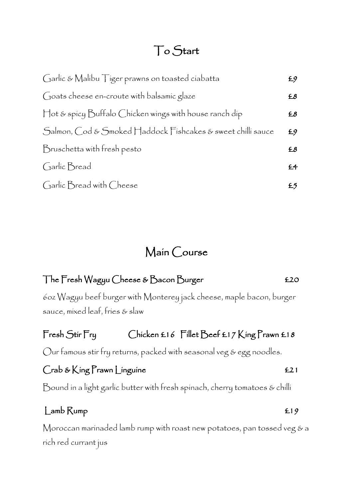# To Start

| Garlic & Malibu Tiger prawns on toasted ciabatta            | £9             |
|-------------------------------------------------------------|----------------|
| Goats cheese en-croute with balsamic glaze                  | £8             |
| Hot & spicy Buffalo Chicken wings with house ranch dip      | £8             |
| Salmon, Cod & Smoked Haddock Fishcakes & sweet chilli sauce | E9             |
| Bruschetta with fresh pesto                                 | £8             |
| Garlic Bread                                                | £ <sup>4</sup> |
| Garlic Bread with Cheese                                    | £5             |

# Main Course

## The Fresh Wagyu Cheese & Bacon Burger **1988** E20

6oz Wagyu beef burger with Monterey jack cheese, maple bacon, burger sauce, mixed leaf, fries & slaw

## Fresh Stir Fry Chicken £16 Fillet Beef £17 King Prawn £18

Our famous stir fry returns, packed with seasonal veg & egg noodles.

## Crab & King Prawn Linguine **EXA** Crab & King Prawn Linguine

Bound in a light garlic butter with fresh spinach, cherry tomatoes & chilli

## Lamb Rump **E**19

Moroccan marinaded lamb rump with roast new potatoes, pan tossed veg & a rich red currant jus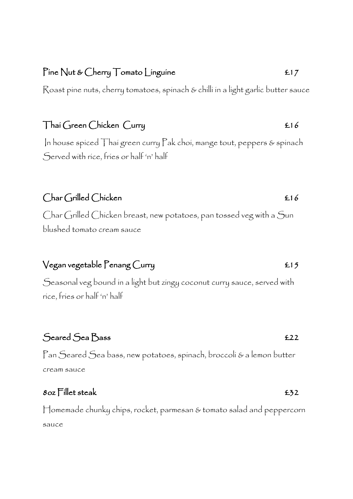## Pine Nut & Cherry Tomato Linguine **ELE**

Roast pine nuts, cherry tomatoes, spinach & chilli in a light garlic butter sauce

## Thai Green Chicken Curry **Election** Election **Election** Election **Election** Election **Election**

In house spiced Thai green curry Pak choi, mange tout, peppers & spinach Served with rice, fries or half 'n' half

## Char Grilled Chicken **£16**

Char Grilled Chicken breast, new potatoes, pan tossed veg with a Sun blushed tomato cream sauce

## $V$ egan vegetable Penang Curry  $E15$

Seasonal veg bound in a light but zingy coconut curry sauce, served with rice, fries or half 'n' half

## Seared Sea Bass **£22**

Pan Seared Sea bass, new potatoes, spinach, broccoli & a lemon butter cream sauce

## $8$ oz Fillet steak  $£32$

Homemade chunky chips, rocket, parmesan & tomato salad and peppercorn sauce